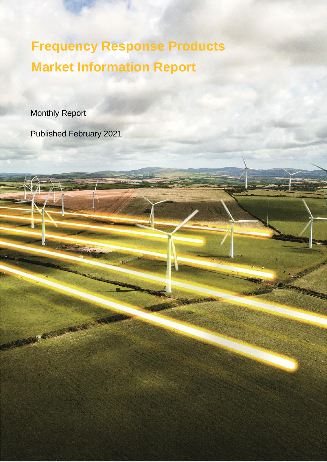**Frequency Response Products Market Information Report**

Monthly Report

REGISTERED FO

Published February 2021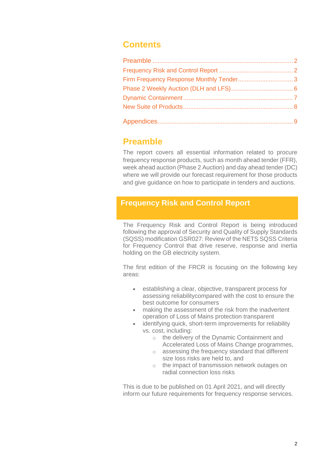## **Contents**

## **Preamble**

The report covers all essential information related to procure frequency response products, such as month ahead tender (FFR), week ahead auction (Phase 2 Auction) and day ahead tender (DC) where we will provide our forecast requirement for those products and give guidance on how to participate in tenders and auctions.

## **Frequency Risk and Control Report**

The Frequency Risk and Control Report is being introduced following the approval of Security and Quality of Supply Standards (SQSS) modification GSR027: Review of the NETS SQSS Criteria for Frequency Control that drive reserve, response and inertia holding on the GB electricity system.

The first edition of the FRCR is focusing on the following key areas:

- establishing a clear, objective, transparent process for assessing reliabilitycompared with the cost to ensure the best outcome for consumers
- making the assessment of the risk from the inadvertent operation of Loss of Mains protection transparent
- identifying quick, short-term improvements for reliability vs. cost, including:
	- o the delivery of the Dynamic Containment and Accelerated Loss of Mains Change programmes,
	- o assessing the frequency standard that different size loss risks are held to, and
	- o the impact of transmission network outages on radial connection loss risks

This is due to be published on 01 April 2021, and will directly inform our future requirements for frequency response services.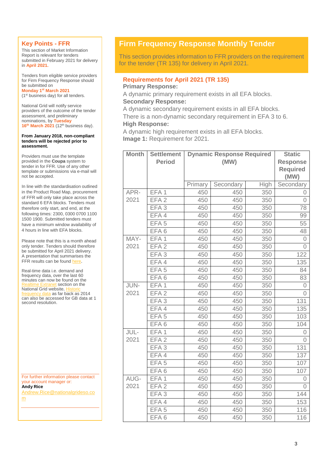### **Key Points - FFR**

This section of Market Information Report is relevant for tenders submitted in February 2021 for delivery in **April 2021.**

Tenders from eligible service providers for Firm Frequency Response should be submitted on **Monday 1 st March 2021** 

(1st business day) for all tenders.

National Grid will notify service providers of the outcome of the tender assessment, and preliminary nominations, by **Tuesday 16 th March 2021** (12th business day).

#### **From January 2018, non-compliant tenders will be rejected prior to assessment.**

Providers must use the template provided in the **Coupa** system to tender in for FFR. Use of any other template or submissions via e-mail will not be accepted.

In line with the standardisation outlined in the Product Road Map, procurement of FFR will only take place across the standard 6 EFA blocks. Tenders must therefore only start, and end, at the following times: 2300, 0300 0700 1100 1500 1900. Submitted tenders must have a minimum window availability of 4 hours in line with EFA blocks.

Please note that this is a month ahead only tender. Tenders should therefore be submitted for April 2021 delivery. A presentation that summarises the FFR results can be foun[d here.](https://www.nationalgrideso.com/industry-information/balancing-services/frequency-response-services/firm-frequency-response-ffr?assessment-process)

Real-time data i.e. demand and frequency data, over the last 60 minutes can now be found on the anet section on the National Grid website.  $\frac{1}{10}$  data as far back as 2014 can also be accessed for GB data at 1 second resolution.

For further information please contact your account manager or: **Andy Rice**

[Andrew.Rice@nationalgrideso.co](mailto:Andrew.Rice@nationalgrideso.com)

[m](mailto:Andrew.Rice@nationalgrideso.com)

## **Firm Frequency Response Monthly Tender**

This section provides information to FFR providers on the requirement for the tender (TR 135) for delivery in April 2021.

## **Requirements for April 2021 (TR 135)**

**Primary Response:**

A dynamic primary requirement exists in all EFA blocks. **Secondary Response:**

A dynamic secondary requirement exists in all EFA blocks.

There is a non-dynamic secondary requirement in EFA 3 to 6. **High Response:**

A dynamic high requirement exists in all EFA blocks.

**Image 1:** Requirement for 2021.

| <b>Month</b> | <b>Settlement</b> | <b>Dynamic Response Required</b> |           |      | <b>Static</b>                              |
|--------------|-------------------|----------------------------------|-----------|------|--------------------------------------------|
|              | <b>Period</b>     | (MW)                             |           |      | <b>Response</b><br><b>Required</b><br>(MW) |
|              |                   | Primary                          | Secondary | High | Secondary                                  |
| APR-         | EFA <sub>1</sub>  | 450                              | 450       | 350  | 0                                          |
| 2021         | EFA <sub>2</sub>  | 450                              | 450       | 350  | $\Omega$                                   |
|              | EFA <sub>3</sub>  | 450                              | 450       | 350  | 78                                         |
|              | EFA 4             | 450                              | 450       | 350  | 99                                         |
|              | EFA <sub>5</sub>  | 450                              | 450       | 350  | 55                                         |
|              | EFA6              | 450                              | 450       | 350  | 48                                         |
| MAY-         | EFA <sub>1</sub>  | 450                              | 450       | 350  | 0                                          |
| 2021         | EFA <sub>2</sub>  | 450                              | 450       | 350  | 0                                          |
|              | EFA <sub>3</sub>  | 450                              | 450       | 350  | 122                                        |
|              | EFA4              | 450                              | 450       | 350  | 135                                        |
|              | EFA <sub>5</sub>  | 450                              | 450       | 350  | 84                                         |
|              | EFA <sub>6</sub>  | 450                              | 450       | 350  | 83                                         |
| JUN-         | EFA <sub>1</sub>  | 450                              | 450       | 350  | 0                                          |
| 2021         | EFA <sub>2</sub>  | 450                              | 450       | 350  | $\overline{0}$                             |
|              | EFA <sub>3</sub>  | 450                              | 450       | 350  | 131                                        |
|              | EFA 4             | 450                              | 450       | 350  | 135                                        |
|              | EFA <sub>5</sub>  | 450                              | 450       | 350  | 103                                        |
|              | EFA6              | 450                              | 450       | 350  | 104                                        |
| JUL-         | EFA <sub>1</sub>  | 450                              | 450       | 350  | 0                                          |
| 2021         | EFA <sub>2</sub>  | 450                              | 450       | 350  | $\Omega$                                   |
|              | EFA <sub>3</sub>  | 450                              | 450       | 350  | 131                                        |
|              | EFA4              | 450                              | 450       | 350  | 137                                        |
|              | EFA <sub>5</sub>  | 450                              | 450       | 350  | 107                                        |
|              | EFA6              | 450                              | 450       | 350  | 107                                        |
| AUG-         | EFA <sub>1</sub>  | 450                              | 450       | 350  | $\overline{0}$                             |
| 2021         | EFA <sub>2</sub>  | 450                              | 450       | 350  | 0                                          |
|              | EFA <sub>3</sub>  | 450                              | 450       | 350  | 144                                        |
|              | EFA4              | 450                              | 450       | 350  | 153                                        |
|              | EFA <sub>5</sub>  | 450                              | 450       | 350  | 116                                        |
|              | EFA <sub>6</sub>  | 450                              | 450       | 350  | 116                                        |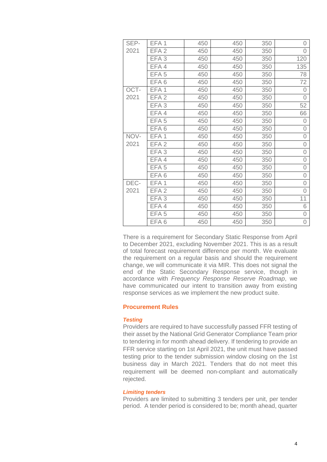| SEP- | EFA 1            | 450 | 450 | 350 | 0              |
|------|------------------|-----|-----|-----|----------------|
| 2021 | EFA <sub>2</sub> | 450 | 450 | 350 | $\overline{0}$ |
|      | EFA <sub>3</sub> | 450 | 450 | 350 | 120            |
|      | EFA4             | 450 | 450 | 350 | 135            |
|      | EFA <sub>5</sub> | 450 | 450 | 350 | 78             |
|      | EFA6             | 450 | 450 | 350 | 72             |
| OCT- | EFA <sub>1</sub> | 450 | 450 | 350 | $\overline{0}$ |
| 2021 | EFA <sub>2</sub> | 450 | 450 | 350 | $\overline{0}$ |
|      | EFA <sub>3</sub> | 450 | 450 | 350 | 52             |
|      | EFA4             | 450 | 450 | 350 | 66             |
|      | EFA <sub>5</sub> | 450 | 450 | 350 | $\overline{0}$ |
|      | EFA6             | 450 | 450 | 350 | $\overline{0}$ |
| NOV- | EFA <sub>1</sub> | 450 | 450 | 350 | $\overline{0}$ |
| 2021 | EFA <sub>2</sub> | 450 | 450 | 350 | $\overline{0}$ |
|      | EFA <sub>3</sub> | 450 | 450 | 350 | $\overline{O}$ |
|      | EFA4             | 450 | 450 | 350 | $\overline{O}$ |
|      | EFA <sub>5</sub> | 450 | 450 | 350 | $\overline{O}$ |
|      | EFA6             | 450 | 450 | 350 | $\overline{O}$ |
| DEC- | EFA <sub>1</sub> | 450 | 450 | 350 | $\overline{0}$ |
| 2021 | EFA <sub>2</sub> | 450 | 450 | 350 | $\overline{O}$ |
|      | EFA <sub>3</sub> | 450 | 450 | 350 | 11             |
|      | EFA4             | 450 | 450 | 350 | 6              |
|      | EFA <sub>5</sub> | 450 | 450 | 350 | $\overline{O}$ |
|      | EFA <sub>6</sub> | 450 | 450 | 350 | $\overline{0}$ |

There is a requirement for Secondary Static Response from April to December 2021, excluding November 2021. This is as a result of total forecast requirement difference per month. We evaluate the requirement on a regular basis and should the requirement change, we will communicate it via MIR. This does not signal the end of the Static Secondary Response service, though in accordance with *Frequency Response Reserve Roadmap*, we have communicated our intent to transition away from existing response services as we implement the new product suite.

#### **Procurement Rules**

#### *Testing*

Providers are required to have successfully passed FFR testing of their asset by the National Grid Generator Compliance Team prior to tendering in for month ahead delivery. If tendering to provide an FFR service starting on 1st April 2021, the unit must have passed testing prior to the tender submission window closing on the 1st business day in March 2021. Tenders that do not meet this requirement will be deemed non-compliant and automatically rejected.

#### *Limiting tenders*

Providers are limited to submitting 3 tenders per unit, per tender period. A tender period is considered to be; month ahead, quarter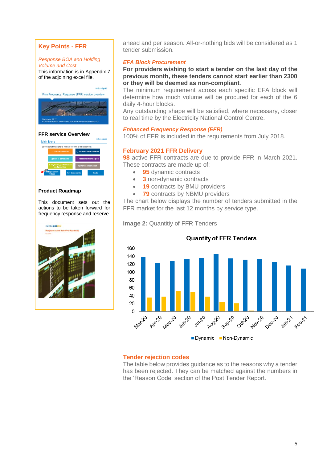### **Key Points - FFR**

#### *Response BOA and Holding*

*Volume and Cost* This information is in Appendix 7 of the adjoining excel file.



#### **[FFR service Overview](https://www.nationalgrid.com/sites/default/files/documents/Firm%20Frequency%20Response%20%28FFR%29%20Interactive%20Guidance%20v1%200_0.pdf)**



#### **[Product Roadmap](https://www.nationalgrid.com/sites/default/files/documents/Product%20Roadmap%20for%20Frequency%20Response%20and%20Reserve.pdf)**

This document sets out the actions to be taken forward for frequency response and reserve.



ahead and per season. All-or-nothing bids will be considered as 1 tender submission.

#### *EFA Block Procurement*

**For providers wishing to start a tender on the last day of the previous month, these tenders cannot start earlier than 2300 or they will be deemed as non-compliant.**

The minimum requirement across each specific EFA block will determine how much volume will be procured for each of the 6 daily 4-hour blocks.

Any outstanding shape will be satisfied, where necessary, closer to real time by the Electricity National Control Centre.

#### *Enhanced Frequency Response (EFR)*

100% of EFR is included in the requirements from July 2018.

#### **February 2021 FFR Delivery**

**98** active FFR contracts are due to provide FFR in March 2021. These contracts are made up of:

- **95** dynamic contracts
- **3** non-dynamic contracts
- **19** contracts by BMU providers
- **79** contracts by NBMU providers

The chart below displays the number of tenders submitted in the FFR market for the last 12 months by service type.

**Image 2: Quantitiy of FFR Tenders** 



#### **Tender rejection codes**

The table below provides guidance as to the reasons why a tender has been rejected. They can be matched against the numbers in the 'Reason Code' section of the Post Tender Report.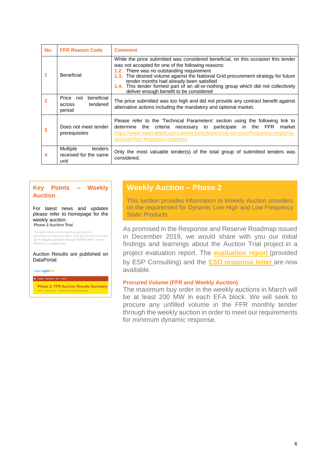| No. | <b>FFR Reason Code</b>                               | <b>Comment</b>                                                                                                                                                                                                                                                                                                                                                                                                                                            |  |  |
|-----|------------------------------------------------------|-----------------------------------------------------------------------------------------------------------------------------------------------------------------------------------------------------------------------------------------------------------------------------------------------------------------------------------------------------------------------------------------------------------------------------------------------------------|--|--|
| 1   | <b>Beneficial</b>                                    | While the price submitted was considered beneficial, on this occasion this tender<br>was not accepted for one of the following reasons:<br>1.2. There was no outstanding requirement<br>The desired volume against the National Grid procurement strategy for future<br>1.3.<br>tender months had already been satisfied<br>1.4. This tender formed part of an all-or-nothing group which did not collectively<br>deliver enough benefit to be considered |  |  |
|     | Price not beneficial<br>tendered<br>across<br>period | The price submitted was too high and did not provide any contract benefit against<br>alternative actions including the mandatory and optional market.                                                                                                                                                                                                                                                                                                     |  |  |
| 3   | Does not meet tender<br>prerequisites                | Please refer to the Technical Parameters' section using the following link to<br>criteria necessary to participate in the FFR<br>determine the<br>market<br>https://www.nationalgrid.com/uk/electricity/balancing-services/frequency-response-<br>services/firm-frequency-response                                                                                                                                                                        |  |  |
| 4   | Multiple<br>tenders<br>received for the same<br>unit | Only the most valuable tender(s) of the total group of submitted tenders was<br>considered.                                                                                                                                                                                                                                                                                                                                                               |  |  |

### **Key Points – Weekly Auction**

For latest news and updates please refer to homepage for the weekly auction:<br>Phase 2 Auction Trial

The auction trial is an innovation project which is procuring Low Frequency Static (LFS) and Dynamic Low High (DLH) frequency products through the EPEX SPOT Auction Platform on a weekly basis

Auction Results are published on DataPortal:

nationalgridESO

**Phase 2: FFR Auction Results Summary** 

### **Weekly Auction – Phase 2**

This section provides information to Weekly Auction providers on the requirement for Dynamic Low High and Low Frequency Static Products

As promised in the Response and Reserve Roadmap issued in December 2019, we would share with you our initial findings and learnings about the Auction Trial project in a project evaluation report. The **[evaluation report](https://www.nationalgrideso.com/document/176721/download)** (provided by ESP Consulting) and the **ESO [response letter](https://www.nationalgrideso.com/document/176726/download)** are now available.

#### **Procured Volume (FFR and Weekly Auction)**

The maximum buy order in the weekly auctions in March will be at least 200 MW in each EFA block. We will seek to procure any unfilled volume in the FFR monthly tender through the weekly auction in order to meet our requirements for minimum dynamic response.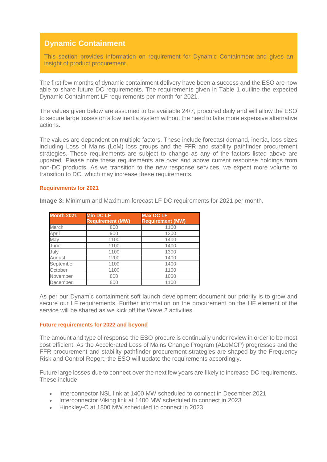## **Dynamic Containment**

This section provides information on requirement for Dynamic Containment and gives an insight of product procurement.

The first few months of dynamic containment delivery have been a success and the ESO are now able to share future DC requirements. The requirements given in Table 1 outline the expected Dynamic Containment LF requirements per month for 2021.

The values given below are assumed to be available 24/7, procured daily and will allow the ESO to secure large losses on a low inertia system without the need to take more expensive alternative actions.

The values are dependent on multiple factors. These include forecast demand, inertia, loss sizes including Loss of Mains (LoM) loss groups and the FFR and stability pathfinder procurement strategies. These requirements are subject to change as any of the factors listed above are updated. Please note these requirements are over and above current response holdings from non-DC products. As we transition to the new response services, we expect more volume to transition to DC, which may increase these requirements.

#### **Requirements for 2021**

**Image 3:** Minimum and Maximum forecast LF DC requirements for 2021 per month.

| <b>Month 2021</b> | <b>Min DC LF</b><br><b>Requirement (MW)</b> | <b>Max DC LF</b><br><b>Requirement (MW)</b> |
|-------------------|---------------------------------------------|---------------------------------------------|
| March             | 800                                         | 1100                                        |
|                   |                                             |                                             |
| April             | 900                                         | 1200                                        |
| May               | 1100                                        | 1400                                        |
| June              | 1100                                        | 1400                                        |
| July              | 1100                                        | 1300                                        |
| August            | 1200                                        | 1400                                        |
| September         | 1100                                        | 1400                                        |
| October           | 1100                                        | 1100                                        |
| November          | 800                                         | 1000                                        |
| December          | 800                                         | 1100                                        |

As per our Dynamic containment soft launch development document our priority is to grow and secure our LF requirements. Further information on the procurement on the HF element of the service will be shared as we kick off the Wave 2 activities.

#### **Future requirements for 2022 and beyond**

The amount and type of response the ESO procure is continually under review in order to be most cost efficient. As the [Accelerated Loss of Mains Change Program \(ALoMCP\)](https://www.nationalgrideso.com/industry-information/accelerated-loss-mains-change-programme-alomcp) progresses and the FFR procurement and stability pathfinder procurement strategies are shaped by the Frequency Risk and Control Report, the ESO will update the requirements accordingly.

Future large losses due to connect over the next few years are likely to increase DC requirements. These include:

- Interconnector NSL link at 1400 MW scheduled to connect in December 2021
- Interconnector Viking link at 1400 MW scheduled to connect in 2023
- Hinckley-C at 1800 MW scheduled to connect in 2023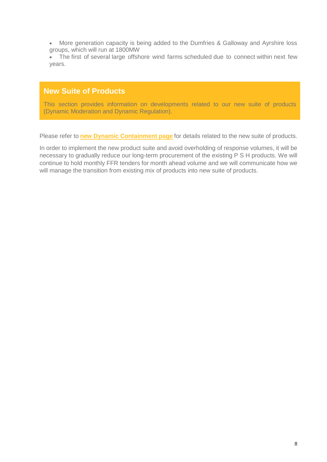• More generation capacity is being added to the Dumfries & Galloway and Ayrshire loss groups, which will run at 1800MW

• The first of several large offshore wind farms scheduled due to connect within next few years.

### **New Suite of Products**

This section provides information on developments related to our new suite of products (Dynamic Moderation and Dynamic Regulation).

Please refer to **[new Dynamic Containment page](https://www.nationalgrideso.com/industry-information/balancing-services/frequency-response-services/dynamic-containment)** for details related to the new suite of products.

In order to implement the new product suite and avoid overholding of response volumes, it will be necessary to gradually reduce our long-term procurement of the existing P S H products. We will continue to hold monthly FFR tenders for month ahead volume and we will communicate how we will manage the transition from existing mix of products into new suite of products.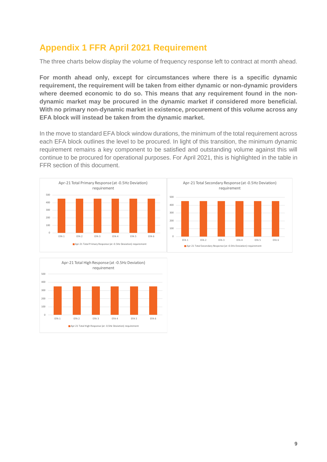# **Appendix 1 FFR April 2021 Requirement**

The three charts below display the volume of frequency response left to contract at month ahead.

**For month ahead only, except for circumstances where there is a specific dynamic requirement, the requirement will be taken from either dynamic or non-dynamic providers**  where deemed economic to do so. This means that any requirement found in the non**dynamic market may be procured in the dynamic market if considered more beneficial. With no primary non-dynamic market in existence, procurement of this volume across any EFA block will instead be taken from the dynamic market.**

In the move to standard EFA block window durations, the minimum of the total requirement across each EFA block outlines the level to be procured. In light of this transition, the minimum dynamic requirement remains a key component to be satisfied and outstanding volume against this will continue to be procured for operational purposes. For April 2021, this is highlighted in the table in FFR section of this document.



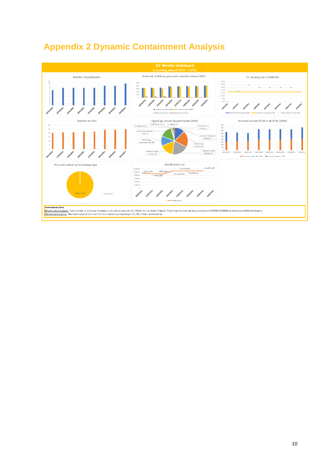